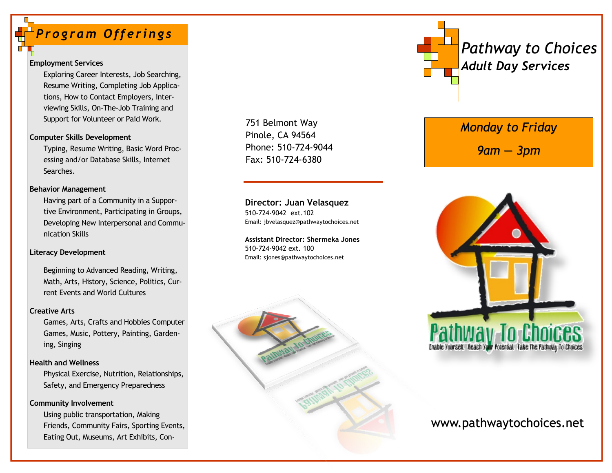# *Pro gram Off erings*

### **Employment Services**

Exploring Career Interests, Job Searching, Resume Writing, Completing Job Applications, How to Contact Employers, Interviewing Skills, On-The-Job Training and Support for Volunteer or Paid Work.

### **Computer Skills Development**

Typing, Resume Writing, Basic Word Processing and/or Database Skills, Internet Searches.

### **Behavior Management**

Having part of a Community in a Supportive Environment, Participating in Groups, Developing New Interpersonal and Communication Skills

### **Literacy Development**

Beginning to Advanced Reading, Writing, Math, Arts, History, Science, Politics, Current Events and World Cultures

### **Creative Arts**

Games, Arts, Crafts and Hobbies Computer Games, Music, Pottery, Painting, Gardening, Singing

### **Health and Wellness**

Physical Exercise, Nutrition, Relationships, Safety, and Emergency Preparedness

### **Community Involvement**

Using public transportation, Making Friends, Community Fairs, Sporting Events, Eating Out, Museums, Art Exhibits, Con751 Belmont Way Pinole, CA 94564 Phone: 510-724-9044 Fax: 510-724-6380

**Director: Juan Velasquez** 510-724-9042 ext.102 Email: jbvelasquez@pathwaytochoices.net

**Assistant Director: Shermeka Jones** 510-724-9042 ext. 100 Email: sjones@pathwaytochoices.net





# *Monday to Friday*

*9am — 3pm*



# www.pathwaytochoices.net